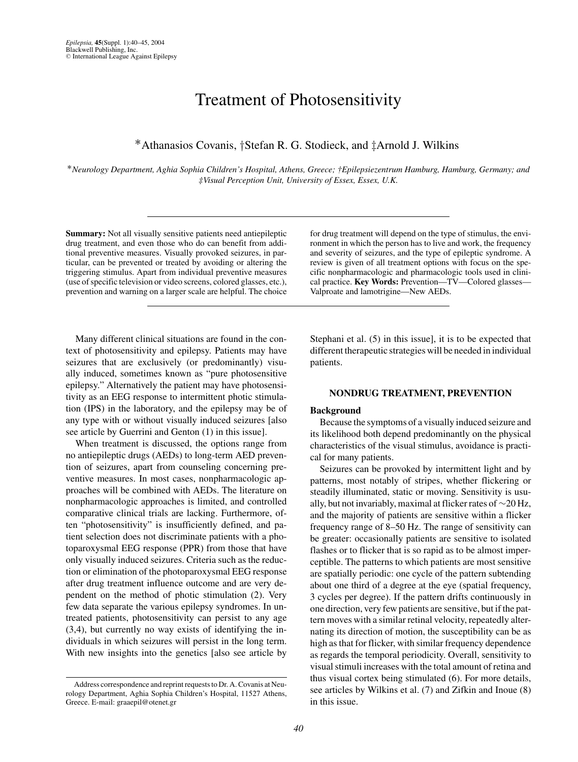# Treatment of Photosensitivity

∗Athanasios Covanis, †Stefan R. G. Stodieck, and ‡Arnold J. Wilkins

∗*Neurology Department, Aghia Sophia Children's Hospital, Athens, Greece; †Epilepsiezentrum Hamburg, Hamburg, Germany; and ‡Visual Perception Unit, University of Essex, Essex, U.K.*

**Summary:** Not all visually sensitive patients need antiepileptic drug treatment, and even those who do can benefit from additional preventive measures. Visually provoked seizures, in particular, can be prevented or treated by avoiding or altering the triggering stimulus. Apart from individual preventive measures (use of specific television or video screens, colored glasses, etc.), prevention and warning on a larger scale are helpful. The choice for drug treatment will depend on the type of stimulus, the environment in which the person has to live and work, the frequency and severity of seizures, and the type of epileptic syndrome. A review is given of all treatment options with focus on the specific nonpharmacologic and pharmacologic tools used in clinical practice. **Key Words:** Prevention—TV—Colored glasses— Valproate and lamotrigine—New AEDs.

Many different clinical situations are found in the context of photosensitivity and epilepsy. Patients may have seizures that are exclusively (or predominantly) visually induced, sometimes known as "pure photosensitive epilepsy." Alternatively the patient may have photosensitivity as an EEG response to intermittent photic stimulation (IPS) in the laboratory, and the epilepsy may be of any type with or without visually induced seizures [also see article by Guerrini and Genton (1) in this issue].

When treatment is discussed, the options range from no antiepileptic drugs (AEDs) to long-term AED prevention of seizures, apart from counseling concerning preventive measures. In most cases, nonpharmacologic approaches will be combined with AEDs. The literature on nonpharmacologic approaches is limited, and controlled comparative clinical trials are lacking. Furthermore, often "photosensitivity" is insufficiently defined, and patient selection does not discriminate patients with a photoparoxysmal EEG response (PPR) from those that have only visually induced seizures. Criteria such as the reduction or elimination of the photoparoxysmal EEG response after drug treatment influence outcome and are very dependent on the method of photic stimulation (2). Very few data separate the various epilepsy syndromes. In untreated patients, photosensitivity can persist to any age (3,4), but currently no way exists of identifying the individuals in which seizures will persist in the long term. With new insights into the genetics [also see article by Stephani et al. (5) in this issue], it is to be expected that different therapeutic strategies will be needed in individual patients.

### **NONDRUG TREATMENT, PREVENTION**

#### **Background**

Because the symptoms of a visually induced seizure and its likelihood both depend predominantly on the physical characteristics of the visual stimulus, avoidance is practical for many patients.

Seizures can be provoked by intermittent light and by patterns, most notably of stripes, whether flickering or steadily illuminated, static or moving. Sensitivity is usually, but not invariably, maximal at flicker rates of ∼20 Hz, and the majority of patients are sensitive within a flicker frequency range of 8–50 Hz. The range of sensitivity can be greater: occasionally patients are sensitive to isolated flashes or to flicker that is so rapid as to be almost imperceptible. The patterns to which patients are most sensitive are spatially periodic: one cycle of the pattern subtending about one third of a degree at the eye (spatial frequency, 3 cycles per degree). If the pattern drifts continuously in one direction, very few patients are sensitive, but if the pattern moves with a similar retinal velocity, repeatedly alternating its direction of motion, the susceptibility can be as high as that for flicker, with similar frequency dependence as regards the temporal periodicity. Overall, sensitivity to visual stimuli increases with the total amount of retina and thus visual cortex being stimulated (6). For more details, see articles by Wilkins et al. (7) and Zifkin and Inoue (8) in this issue.

Address correspondence and reprint requests to Dr. A. Covanis at Neurology Department, Aghia Sophia Children's Hospital, 11527 Athens, Greece. E-mail: graaepil@otenet.gr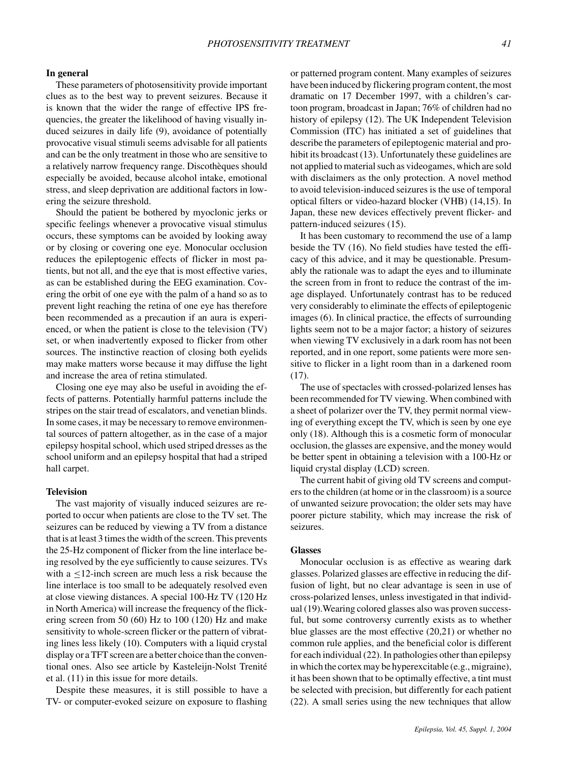## **In general**

These parameters of photosensitivity provide important clues as to the best way to prevent seizures. Because it is known that the wider the range of effective IPS frequencies, the greater the likelihood of having visually induced seizures in daily life (9), avoidance of potentially provocative visual stimuli seems advisable for all patients and can be the only treatment in those who are sensitive to a relatively narrow frequency range. Discothèques should especially be avoided, because alcohol intake, emotional stress, and sleep deprivation are additional factors in lowering the seizure threshold.

Should the patient be bothered by myoclonic jerks or specific feelings whenever a provocative visual stimulus occurs, these symptoms can be avoided by looking away or by closing or covering one eye. Monocular occlusion reduces the epileptogenic effects of flicker in most patients, but not all, and the eye that is most effective varies, as can be established during the EEG examination. Covering the orbit of one eye with the palm of a hand so as to prevent light reaching the retina of one eye has therefore been recommended as a precaution if an aura is experienced, or when the patient is close to the television (TV) set, or when inadvertently exposed to flicker from other sources. The instinctive reaction of closing both eyelids may make matters worse because it may diffuse the light and increase the area of retina stimulated.

Closing one eye may also be useful in avoiding the effects of patterns. Potentially harmful patterns include the stripes on the stair tread of escalators, and venetian blinds. In some cases, it may be necessary to remove environmental sources of pattern altogether, as in the case of a major epilepsy hospital school, which used striped dresses as the school uniform and an epilepsy hospital that had a striped hall carpet.

### **Television**

The vast majority of visually induced seizures are reported to occur when patients are close to the TV set. The seizures can be reduced by viewing a TV from a distance that is at least 3 times the width of the screen. This prevents the 25-Hz component of flicker from the line interlace being resolved by the eye sufficiently to cause seizures. TVs with a <12-inch screen are much less a risk because the line interlace is too small to be adequately resolved even at close viewing distances. A special 100-Hz TV (120 Hz in North America) will increase the frequency of the flickering screen from 50 (60) Hz to 100 (120) Hz and make sensitivity to whole-screen flicker or the pattern of vibrating lines less likely (10). Computers with a liquid crystal display or a TFT screen are a better choice than the conventional ones. Also see article by Kasteleijn-Nolst Trenite´ et al. (11) in this issue for more details.

Despite these measures, it is still possible to have a TV- or computer-evoked seizure on exposure to flashing

or patterned program content. Many examples of seizures have been induced by flickering program content, the most dramatic on 17 December 1997, with a children's cartoon program, broadcast in Japan; 76% of children had no history of epilepsy (12). The UK Independent Television Commission (ITC) has initiated a set of guidelines that describe the parameters of epileptogenic material and prohibit its broadcast (13). Unfortunately these guidelines are not applied to material such as videogames, which are sold with disclaimers as the only protection. A novel method to avoid television-induced seizures is the use of temporal optical filters or video-hazard blocker (VHB) (14,15). In Japan, these new devices effectively prevent flicker- and pattern-induced seizures (15).

It has been customary to recommend the use of a lamp beside the TV (16). No field studies have tested the efficacy of this advice, and it may be questionable. Presumably the rationale was to adapt the eyes and to illuminate the screen from in front to reduce the contrast of the image displayed. Unfortunately contrast has to be reduced very considerably to eliminate the effects of epileptogenic images (6). In clinical practice, the effects of surrounding lights seem not to be a major factor; a history of seizures when viewing TV exclusively in a dark room has not been reported, and in one report, some patients were more sensitive to flicker in a light room than in a darkened room (17).

The use of spectacles with crossed-polarized lenses has been recommended for TV viewing. When combined with a sheet of polarizer over the TV, they permit normal viewing of everything except the TV, which is seen by one eye only (18). Although this is a cosmetic form of monocular occlusion, the glasses are expensive, and the money would be better spent in obtaining a television with a 100-Hz or liquid crystal display (LCD) screen.

The current habit of giving old TV screens and computers to the children (at home or in the classroom) is a source of unwanted seizure provocation; the older sets may have poorer picture stability, which may increase the risk of seizures.

#### **Glasses**

Monocular occlusion is as effective as wearing dark glasses. Polarized glasses are effective in reducing the diffusion of light, but no clear advantage is seen in use of cross-polarized lenses, unless investigated in that individual (19).Wearing colored glasses also was proven successful, but some controversy currently exists as to whether blue glasses are the most effective (20,21) or whether no common rule applies, and the beneficial color is different for each individual (22). In pathologies other than epilepsy in which the cortex may be hyperexcitable (e.g., migraine), it has been shown that to be optimally effective, a tint must be selected with precision, but differently for each patient (22). A small series using the new techniques that allow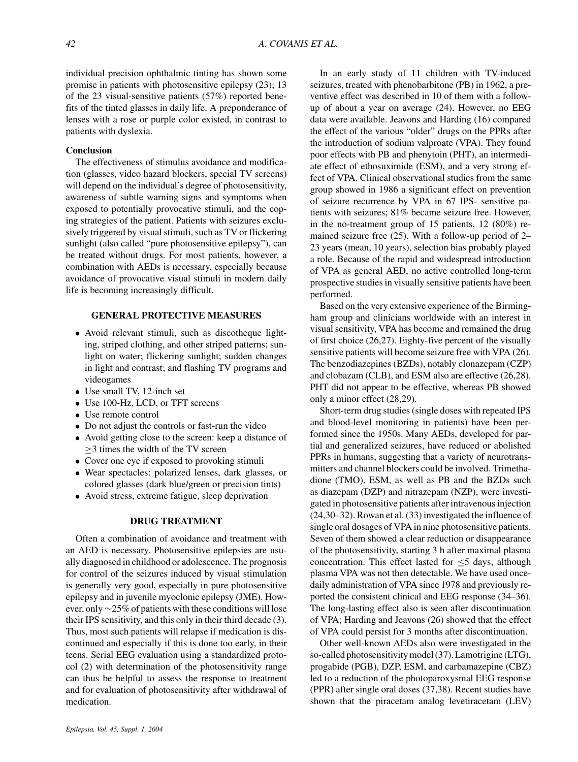individual precision ophthalmic tinting has shown some promise in patients with photosensitive epilepsy (23); 13 of the 23 visual-sensitive patients (57%) reported benefits of the tinted glasses in daily life. A preponderance of lenses with a rose or purple color existed, in contrast to patients with dyslexia.

# **Conclusion**

The effectiveness of stimulus avoidance and modification (glasses, video hazard blockers, special TV screens) will depend on the individual's degree of photosensitivity, awareness of subtle warning signs and symptoms when exposed to potentially provocative stimuli, and the coping strategies of the patient. Patients with seizures exclusively triggered by visual stimuli, such as TV or flickering sunlight (also called "pure photosensitive epilepsy"), can be treated without drugs. For most patients, however, a combination with AEDs is necessary, especially because avoidance of provocative visual stimuli in modern daily life is becoming increasingly difficult.

## **GENERAL PROTECTIVE MEASURES**

- Avoid relevant stimuli, such as discotheque lighting, striped clothing, and other striped patterns; sunlight on water; flickering sunlight; sudden changes in light and contrast; and flashing TV programs and videogames
- Use small TV, 12-inch set
- Use 100-Hz, LCD, or TFT screens
- Use remote control
- Do not adjust the controls or fast-run the video
- Avoid getting close to the screen: keep a distance of  $\geq$ 3 times the width of the TV screen
- Cover one eye if exposed to provoking stimuli
- Wear spectacles: polarized lenses, dark glasses, or colored glasses (dark blue/green or precision tints)
- Avoid stress, extreme fatigue, sleep deprivation

## **DRUG TREATMENT**

Often a combination of avoidance and treatment with an AED is necessary. Photosensitive epilepsies are usually diagnosed in childhood or adolescence. The prognosis for control of the seizures induced by visual stimulation is generally very good, especially in pure photosensitive epilepsy and in juvenile myoclonic epilepsy (JME). However, only ∼25% of patients with these conditions will lose their IPS sensitivity, and this only in their third decade (3). Thus, most such patients will relapse if medication is discontinued and especially if this is done too early, in their teens. Serial EEG evaluation using a standardized protocol (2) with determination of the photosensitivity range can thus be helpful to assess the response to treatment and for evaluation of photosensitivity after withdrawal of medication.

In an early study of 11 children with TV-induced seizures, treated with phenobarbitone (PB) in 1962, a preventive effect was described in 10 of them with a followup of about a year on average (24). However, no EEG data were available. Jeavons and Harding (16) compared the effect of the various "older" drugs on the PPRs after the introduction of sodium valproate (VPA). They found poor effects with PB and phenytoin (PHT), an intermediate effect of ethosuximide (ESM), and a very strong effect of VPA. Clinical observational studies from the same group showed in 1986 a significant effect on prevention of seizure recurrence by VPA in 67 IPS- sensitive patients with seizures; 81% became seizure free. However, in the no-treatment group of 15 patients, 12 (80%) remained seizure free (25). With a follow-up period of 2– 23 years (mean, 10 years), selection bias probably played a role. Because of the rapid and widespread introduction of VPA as general AED, no active controlled long-term prospective studies in visually sensitive patients have been performed.

Based on the very extensive experience of the Birmingham group and clinicians worldwide with an interest in visual sensitivity, VPA has become and remained the drug of first choice (26,27). Eighty-five percent of the visually sensitive patients will become seizure free with VPA (26). The benzodiazepines (BZDs), notably clonazepam (CZP) and clobazam (CLB), and ESM also are effective (26,28). PHT did not appear to be effective, whereas PB showed only a minor effect (28,29).

Short-term drug studies (single doses with repeated IPS and blood-level monitoring in patients) have been performed since the 1950s. Many AEDs, developed for partial and generalized seizures, have reduced or abolished PPRs in humans, suggesting that a variety of neurotransmitters and channel blockers could be involved. Trimethadione (TMO), ESM, as well as PB and the BZDs such as diazepam (DZP) and nitrazepam (NZP), were investigated in photosensitive patients after intravenous injection (24,30–32). Rowan et al. (33) investigated the influence of single oral dosages of VPA in nine photosensitive patients. Seven of them showed a clear reduction or disappearance of the photosensitivity, starting 3 h after maximal plasma concentration. This effect lasted for  $\leq$ 5 days, although plasma VPA was not then detectable. We have used oncedaily administration of VPA since 1978 and previously reported the consistent clinical and EEG response (34–36). The long-lasting effect also is seen after discontinuation of VPA; Harding and Jeavons (26) showed that the effect of VPA could persist for 3 months after discontinuation.

Other well-known AEDs also were investigated in the so-called photosensitivity model (37). Lamotrigine (LTG), progabide (PGB), DZP, ESM, and carbamazepine (CBZ) led to a reduction of the photoparoxysmal EEG response (PPR) after single oral doses (37,38). Recent studies have shown that the piracetam analog levetiracetam (LEV)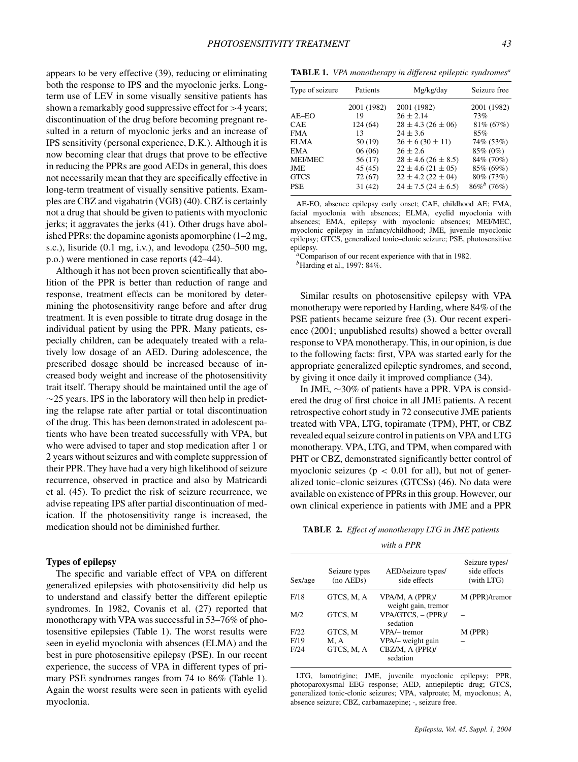appears to be very effective (39), reducing or eliminating both the response to IPS and the myoclonic jerks. Longterm use of LEV in some visually sensitive patients has shown a remarkably good suppressive effect for  $>4$  years; discontinuation of the drug before becoming pregnant resulted in a return of myoclonic jerks and an increase of IPS sensitivity (personal experience, D.K.). Although it is now becoming clear that drugs that prove to be effective in reducing the PPRs are good AEDs in general, this does not necessarily mean that they are specifically effective in long-term treatment of visually sensitive patients. Examples are CBZ and vigabatrin (VGB) (40). CBZ is certainly not a drug that should be given to patients with myoclonic jerks; it aggravates the jerks (41). Other drugs have abolished PPRs: the dopamine agonists apomorphine (1–2 mg, s.c.), lisuride (0.1 mg, i.v.), and levodopa (250–500 mg, p.o.) were mentioned in case reports (42–44).

Although it has not been proven scientifically that abolition of the PPR is better than reduction of range and response, treatment effects can be monitored by determining the photosensitivity range before and after drug treatment. It is even possible to titrate drug dosage in the individual patient by using the PPR. Many patients, especially children, can be adequately treated with a relatively low dosage of an AED. During adolescence, the prescribed dosage should be increased because of increased body weight and increase of the photosensitivity trait itself. Therapy should be maintained until the age of  $\sim$ 25 years. IPS in the laboratory will then help in predicting the relapse rate after partial or total discontinuation of the drug. This has been demonstrated in adolescent patients who have been treated successfully with VPA, but who were advised to taper and stop medication after 1 or 2 years without seizures and with complete suppression of their PPR. They have had a very high likelihood of seizure recurrence, observed in practice and also by Matricardi et al. (45). To predict the risk of seizure recurrence, we advise repeating IPS after partial discontinuation of medication. If the photosensitivity range is increased, the medication should not be diminished further.

## **Types of epilepsy**

The specific and variable effect of VPA on different generalized epilepsies with photosensitivity did help us to understand and classify better the different epileptic syndromes. In 1982, Covanis et al. (27) reported that monotherapy with VPA was successful in 53–76% of photosensitive epilepsies (Table 1). The worst results were seen in eyelid myoclonia with absences (ELMA) and the best in pure photosensitive epilepsy (PSE). In our recent experience, the success of VPA in different types of primary PSE syndromes ranges from 74 to 86% (Table 1). Again the worst results were seen in patients with eyelid myoclonia.

**TABLE 1.** *VPA monotherapy in different epileptic syndromesa*

| Type of seizure                                      | Patients                                                          | Mg/kg/day                                                                                                                                           | Seizure free                                                                                  |
|------------------------------------------------------|-------------------------------------------------------------------|-----------------------------------------------------------------------------------------------------------------------------------------------------|-----------------------------------------------------------------------------------------------|
| AE–EO<br>CAE<br>FMA<br>ELMA<br>EMA<br>MEI/MEC<br>JME | 2001 (1982)<br>19<br>124 (64)<br>13<br>50(19)<br>06(06)<br>56(17) | 2001 (1982)<br>$26 \pm 2.14$<br>$28 \pm 4.3$ (26 $\pm$ 06)<br>$24 \pm 3.6$<br>$26 \pm 6 (30 \pm 11)$<br>$26 \pm 2.6$<br>$28 \pm 4.6$ (26 $\pm$ 8.5) | 2001 (1982)<br>73%<br>81\% (67\%)<br>85%<br>74% (53%)<br>85\% (0\%)<br>84% (70%)<br>85% (69%) |
| <b>GTCS</b><br>PSE                                   | 45(45)<br>72(67)<br>31(42)                                        | $22 \pm 4.6$ (21 $\pm$ 05)<br>$22 \pm 4.2$ (22 $\pm$ 04)<br>$24 \pm 7.5$ (24 $\pm$ 6.5)                                                             | 80% (73%)<br>$86\%$ <sup>b</sup> (76%)                                                        |

AE-EO, absence epilepsy early onset; CAE, childhood AE; FMA, facial myoclonia with absences; ELMA, eyelid myoclonia with absences; EMA, epilepsy with myoclonic absences; MEI/MEC, myoclonic epilepsy in infancy/childhood; JME, juvenile myoclonic epilepsy; GTCS, generalized tonic–clonic seizure; PSE, photosensitive epilepsy.

*<sup>a</sup>*Comparison of our recent experience with that in 1982.

*<sup>b</sup>*Harding et al., 1997: 84%.

Similar results on photosensitive epilepsy with VPA monotherapy were reported by Harding, where 84% of the PSE patients became seizure free (3). Our recent experience (2001; unpublished results) showed a better overall response to VPA monotherapy. This, in our opinion, is due to the following facts: first, VPA was started early for the appropriate generalized epileptic syndromes, and second, by giving it once daily it improved compliance (34).

In JME, ∼30% of patients have a PPR. VPA is considered the drug of first choice in all JME patients. A recent retrospective cohort study in 72 consecutive JME patients treated with VPA, LTG, topiramate (TPM), PHT, or CBZ revealed equal seizure control in patients on VPA and LTG monotherapy. VPA, LTG, and TPM, when compared with PHT or CBZ, demonstrated significantly better control of myoclonic seizures ( $p < 0.01$  for all), but not of generalized tonic–clonic seizures (GTCSs) (46). No data were available on existence of PPRs in this group. However, our own clinical experience in patients with JME and a PPR

|  |  | TABLE 2. Effect of monotherapy LTG in JME patients |  |  |
|--|--|----------------------------------------------------|--|--|
|--|--|----------------------------------------------------|--|--|

*with a PPR*

| Sex/age | Seizure types<br>(no AEDs) | AED/seizure types/<br>side effects         | Seizure types/<br>side effects<br>(with LTG) |
|---------|----------------------------|--------------------------------------------|----------------------------------------------|
| F/18    | GTCS, M, A                 | VPA/M, A (PPR)/                            | M (PPR)/tremor                               |
| M/2     | GTCS, M                    | weight gain, tremor<br>$VPA/GTCS, - (PPR)$ |                                              |
|         |                            | sedation                                   |                                              |
| F/22    | GTCS, M                    | VPA/- tremor                               | $M$ (PPR)                                    |
| F/19    | M, A                       | VPA/- weight gain                          |                                              |
| F/24    | GTCS, M, A                 | $CBZ/M$ , A $(PPR)$<br>sedation            |                                              |

LTG, lamotrigine; JME, juvenile myoclonic epilepsy; PPR, photoparoxysmal EEG response; AED, antiepileptic drug; GTCS, generalized tonic-clonic seizures; VPA, valproate; M, myoclonus; A, absence seizure; CBZ, carbamazepine; -, seizure free.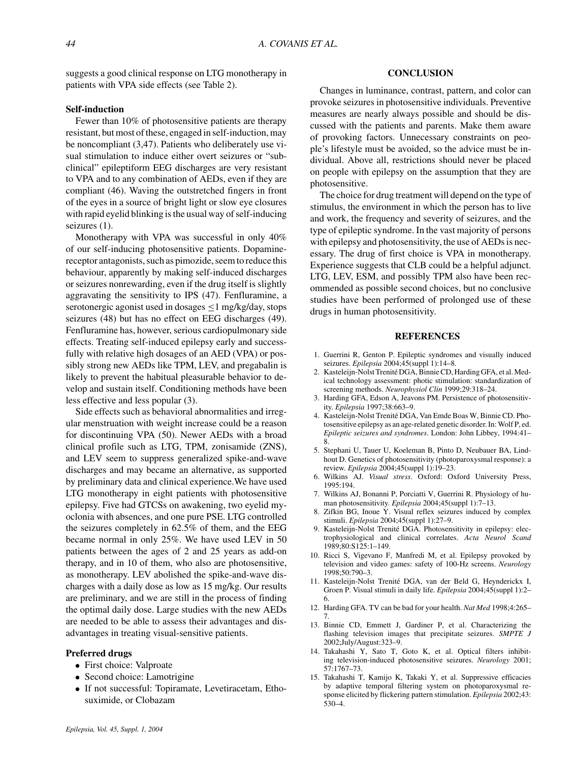suggests a good clinical response on LTG monotherapy in patients with VPA side effects (see Table 2).

## **Self-induction**

Fewer than 10% of photosensitive patients are therapy resistant, but most of these, engaged in self-induction, may be noncompliant (3,47). Patients who deliberately use visual stimulation to induce either overt seizures or "subclinical" epileptiform EEG discharges are very resistant to VPA and to any combination of AEDs, even if they are compliant (46). Waving the outstretched fingers in front of the eyes in a source of bright light or slow eye closures with rapid eyelid blinking is the usual way of self-inducing seizures (1).

Monotherapy with VPA was successful in only 40% of our self-inducing photosensitive patients. Dopaminereceptor antagonists, such as pimozide, seem to reduce this behaviour, apparently by making self-induced discharges or seizures nonrewarding, even if the drug itself is slightly aggravating the sensitivity to IPS (47). Fenfluramine, a serotonergic agonist used in dosages ≤1 mg/kg/day, stops seizures (48) but has no effect on EEG discharges (49). Fenfluramine has, however, serious cardiopulmonary side effects. Treating self-induced epilepsy early and successfully with relative high dosages of an AED (VPA) or possibly strong new AEDs like TPM, LEV, and pregabalin is likely to prevent the habitual pleasurable behavior to develop and sustain itself. Conditioning methods have been less effective and less popular (3).

Side effects such as behavioral abnormalities and irregular menstruation with weight increase could be a reason for discontinuing VPA (50). Newer AEDs with a broad clinical profile such as LTG, TPM, zonisamide (ZNS), and LEV seem to suppress generalized spike-and-wave discharges and may became an alternative, as supported by preliminary data and clinical experience.We have used LTG monotherapy in eight patients with photosensitive epilepsy. Five had GTCSs on awakening, two eyelid myoclonia with absences, and one pure PSE. LTG controlled the seizures completely in 62.5% of them, and the EEG became normal in only 25%. We have used LEV in 50 patients between the ages of 2 and 25 years as add-on therapy, and in 10 of them, who also are photosensitive, as monotherapy. LEV abolished the spike-and-wave discharges with a daily dose as low as 15 mg/kg. Our results are preliminary, and we are still in the process of finding the optimal daily dose. Large studies with the new AEDs are needed to be able to assess their advantages and disadvantages in treating visual-sensitive patients.

## **Preferred drugs**

- First choice: Valproate
- Second choice: Lamotrigine
- If not successful: Topiramate, Levetiracetam, Ethosuximide, or Clobazam

#### **CONCLUSION**

Changes in luminance, contrast, pattern, and color can provoke seizures in photosensitive individuals. Preventive measures are nearly always possible and should be discussed with the patients and parents. Make them aware of provoking factors. Unnecessary constraints on people's lifestyle must be avoided, so the advice must be individual. Above all, restrictions should never be placed on people with epilepsy on the assumption that they are photosensitive.

The choice for drug treatment will depend on the type of stimulus, the environment in which the person has to live and work, the frequency and severity of seizures, and the type of epileptic syndrome. In the vast majority of persons with epilepsy and photosensitivity, the use of AEDs is necessary. The drug of first choice is VPA in monotherapy. Experience suggests that CLB could be a helpful adjunct. LTG, LEV, ESM, and possibly TPM also have been recommended as possible second choices, but no conclusive studies have been performed of prolonged use of these drugs in human photosensitivity.

### **REFERENCES**

- 1. Guerrini R, Genton P. Epileptic syndromes and visually induced seizures. *Epilepsia* 2004;45(suppl 1):14–8.
- 2. Kasteleijn-Nolst Trenité DGA, Binnie CD, Harding GFA, et al. Medical technology assessment: photic stimulation: standardization of screening methods. *Neurophysiol Clin* 1999;29:318–24.
- 3. Harding GFA, Edson A, Jeavons PM. Persistence of photosensitivity. *Epilepsia* 1997;38:663–9.
- 4. Kasteleijn-Nolst Trenité DGA, Van Emde Boas W, Binnie CD. Photosensitive epilepsy as an age-related genetic disorder. In: Wolf P, ed. *Epileptic seizures and syndromes*. London: John Libbey, 1994:41– 8.
- 5. Stephani U, Tauer U, Koeleman B, Pinto D, Neubauer BA, Lindhout D. Genetics of photosensitivity (photoparoxysmal response): a review. *Epilepsia* 2004;45(suppl 1):19–23.
- 6. Wilkins AJ. *Visual stress*. Oxford: Oxford University Press, 1995:194.
- 7. Wilkins AJ, Bonanni P, Porciatti V, Guerrini R. Physiology of human photosensitivity. *Epilepsia* 2004;45(suppl 1):7–13.
- 8. Zifkin BG, Inoue Y. Visual reflex seizures induced by complex stimuli. *Epilepsia* 2004;45(suppl 1):27–9.
- 9. Kasteleijn-Nolst Trenité DGA. Photosensitivity in epilepsy: electrophysiological and clinical correlates. *Acta Neurol Scand* 1989;80:S125:1–149.
- 10. Ricci S, Vigevano F, Manfredi M, et al. Epilepsy provoked by television and video games: safety of 100-Hz screens. *Neurology* 1998;50:790–3.
- 11. Kasteleijn-Nolst Trenité DGA, van der Beld G, Heynderickx I, Groen P. Visual stimuli in daily life. *Epilepsia* 2004;45(suppl 1):2– 6.
- 12. Harding GFA. TV can be bad for your health. *Nat Med* 1998;4:265– 7.
- 13. Binnie CD, Emmett J, Gardiner P, et al. Characterizing the flashing television images that precipitate seizures. *SMPTE J* 2002;July/August:323–9.
- 14. Takahashi Y, Sato T, Goto K, et al. Optical filters inhibiting television-induced photosensitive seizures. *Neurology* 2001; 57:1767–73.
- 15. Takahashi T, Kamijo K, Takaki Y, et al. Suppressive efficacies by adaptive temporal filtering system on photoparoxysmal response elicited by flickering pattern stimulation. *Epilepsia* 2002;43: 530–4.